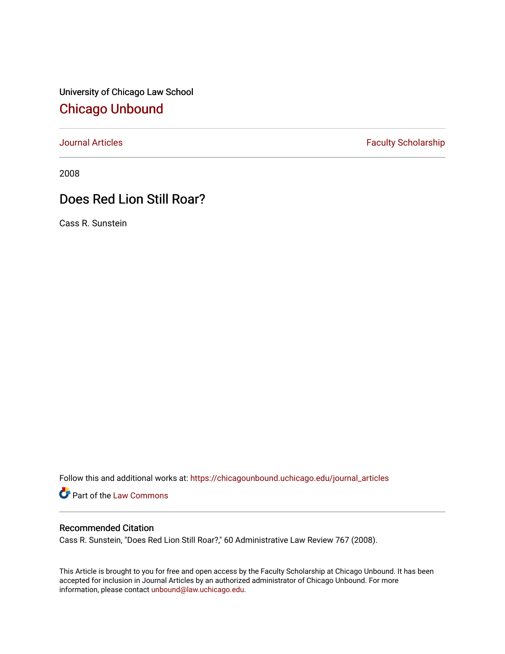University of Chicago Law School [Chicago Unbound](https://chicagounbound.uchicago.edu/)

[Journal Articles](https://chicagounbound.uchicago.edu/journal_articles) **Faculty Scholarship Faculty Scholarship** 

2008

## Does Red Lion Still Roar?

Cass R. Sunstein

Follow this and additional works at: [https://chicagounbound.uchicago.edu/journal\\_articles](https://chicagounbound.uchicago.edu/journal_articles?utm_source=chicagounbound.uchicago.edu%2Fjournal_articles%2F8361&utm_medium=PDF&utm_campaign=PDFCoverPages) 

Part of the [Law Commons](http://network.bepress.com/hgg/discipline/578?utm_source=chicagounbound.uchicago.edu%2Fjournal_articles%2F8361&utm_medium=PDF&utm_campaign=PDFCoverPages)

### Recommended Citation

Cass R. Sunstein, "Does Red Lion Still Roar?," 60 Administrative Law Review 767 (2008).

This Article is brought to you for free and open access by the Faculty Scholarship at Chicago Unbound. It has been accepted for inclusion in Journal Articles by an authorized administrator of Chicago Unbound. For more information, please contact [unbound@law.uchicago.edu](mailto:unbound@law.uchicago.edu).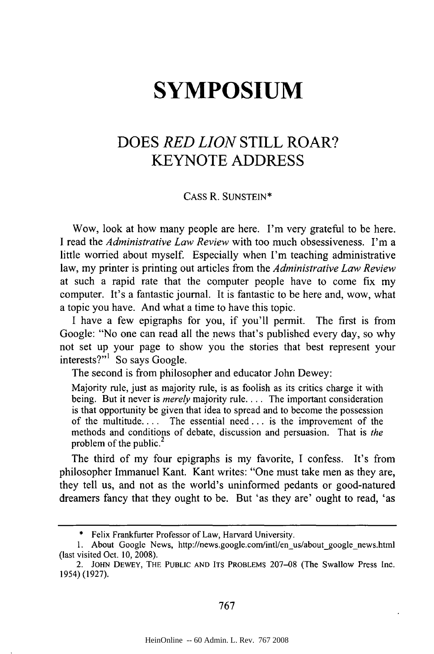# **SYMPOSIUM**

## **DOES** *RED LION* **STILL** ROAR? KEYNOTE **ADDRESS**

CASS R. SUNSTEIN\*

Wow, look at how many people are here. I'm very grateful to be here. I read the *Administrative Law Review* with too much obsessiveness. I'm a little worried about myself. Especially when I'm teaching administrative law, my printer is printing out articles from the *Administrative Law Review* at such a rapid rate that the computer people have to come fix my computer. It's a fantastic journal. It is fantastic to be here and, wow, what a topic you have. And what a time to have this topic.

I have a few epigraphs for you, if you'll permit. The first is from Google: "No one can read all the news that's published every day, so why not set up your page to show you the stories that best represent your interests?"' So says Google.

The second is from philosopher and educator John Dewey:

Majority rule, just as majority rule, is as foolish as its critics charge it with being. But it never is *merely* majority rule.... The important consideration is that opportunity be given that idea to spread and to become the possession of the multitude **....** The essential need **...** is the improvement of the methods and conditions of debate, discussion and persuasion. That is *the* problem of the public. $<sup>2</sup>$ </sup>

The third of my four epigraphs is my favorite, I confess. It's from philosopher Immanuel Kant. Kant writes: "One must take men as they are, they tell us, and not as the world's uninformed pedants or good-natured dreamers fancy that they ought to be. But 'as they are' ought to read, 'as

<sup>\*</sup> Felix Frankfurter Professor of Law, Harvard University.

<sup>1.</sup> About Google News, http://news.google.com/intl/en\_us/about google\_news.html (last visited Oct. 10, 2008).

<sup>2.</sup> JoHN DEWEY, THE **PUBLIC AND ITS** PROBLEMS 207-08 (The Swallow Press Inc. 1954) (1927).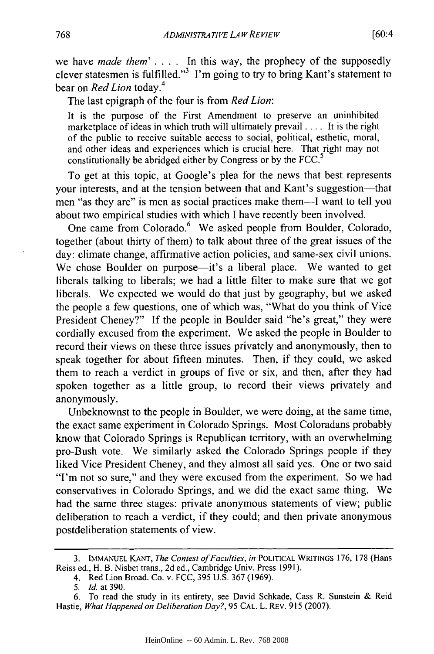we have *made them'. .* . In this way, the prophecy of the supposedly clever statesmen is fulfilled."<sup>3</sup> I'm going to try to bring Kant's statement to bear on *Red Lion* today.4

The last epigraph of the four is from *Red Lion:*

It is the purpose of the First Amendment to preserve an uninhibited marketplace of ideas in which truth will ultimately prevail .... It is the right of the public to receive suitable access to social, political, esthetic, moral, and other ideas and experiences which is crucial here. That right may not constitutionally be abridged either by Congress or by the FCC.

To get at this topic, at Google's plea for the news that best represents your interests, and at the tension between that and Kant's suggestion—that men "as they are" is men as social practices make them-I want to tell you about two empirical studies with which I have recently been involved.

One came from Colorado.<sup>6</sup> We asked people from Boulder, Colorado, together (about thirty of them) to talk about three of the great issues of the day: climate change, affirmative action policies, and same-sex civil unions. We chose Boulder on purpose—it's a liberal place. We wanted to get liberals talking to liberals; we had a little filter to make sure that we got liberals. We expected we would do that just by geography, but we asked the people a few questions, one of which was, "What do you think of Vice President Cheney?" If the people in Boulder said "he's great," they were cordially excused from the experiment. We asked the people in Boulder to record their views on these three issues privately and anonymously, then to speak together for about fifteen minutes. Then, if they could, we asked them to reach a verdict in groups of five or six, and then, after they had spoken together as a little group, to record their views privately and anonymously.

Unbeknownst to the people in Boulder, we were doing, at the same time, the exact same experiment in Colorado Springs. Most Coloradans probably know that Colorado Springs is Republican territory, with an overwhelming pro-Bush vote. We similarly asked the Colorado Springs people if they liked Vice President Cheney, and they almost all said yes. One or two said "I'm not so sure," and they were excused from the experiment. So we had conservatives in Colorado Springs, and we did the exact same thing. We had the same three stages: private anonymous statements of view; public deliberation to reach a verdict, if they could; and then private anonymous postdeliberation statements of view.

<sup>3.</sup> **IMMANUEL KANT,** *The Contest of Faculties, in* POLITICAL WRITINGs 176, 178 (Hans Reiss ed., H. B. Nisbet trans., 2d ed., Cambridge Univ. Press 1991).

<sup>4.</sup> Red Lion Broad. Co. v. FCC, 395 U.S. 367 (1969).

*<sup>5.</sup> Id.* at 390.

<sup>6.</sup> To read the study in its entirety, see David Schkade, Cass R. Sunstein & Reid Hastie, *What Happened on Deliberation Day?,* 95 **CAL.** L. REv. 915 (2007).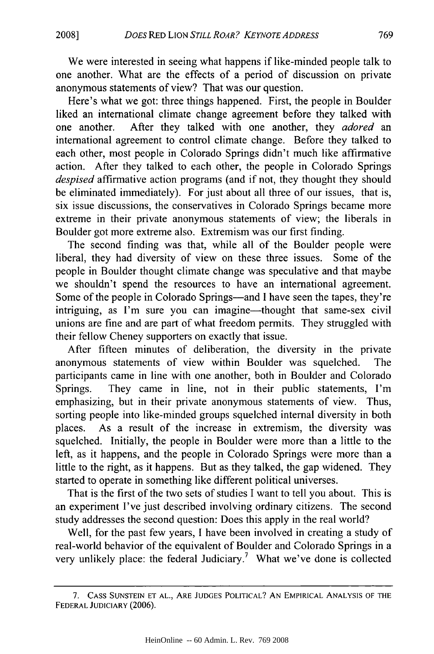We were interested in seeing what happens if like-minded people talk to one another. What are the effects of a period of discussion on private anonymous statements of view? That was our question.

Here's what we got: three things happened. First, the people in Boulder liked an international climate change agreement before they talked with one another. After they talked with one another, they *adored* an international agreement to control climate change. Before they talked to each other, most people in Colorado Springs didn't much like affirmative action. After they talked to each other, the people in Colorado Springs *despised* affirmative action programs (and if not, they thought they should be eliminated immediately). For just about all three of our issues, that is, six issue discussions, the conservatives in Colorado Springs became more extreme in their private anonymous statements of view; the liberals in Boulder got more extreme also. Extremism was our first finding.

The second finding was that, while all of the Boulder people were liberal, they had diversity of view on these three issues. Some of the people in Boulder thought climate change was speculative and that maybe we shouldn't spend the resources to have an international agreement. Some of the people in Colorado Springs—and I have seen the tapes, they're intriguing, as I'm sure you can imagine-thought that same-sex civil unions are fine and are part of what freedom permits. They struggled with their fellow Cheney supporters on exactly that issue.

After fifteen minutes of deliberation, the diversity in the private anonymous statements of view within Boulder was squelched. The participants came in line with one another, both in Boulder and Colorado Springs. They came in line, not in their public statements, I'm emphasizing, but in their private anonymous statements of view. Thus, sorting people into like-minded groups squelched internal diversity in both places. As a result of the increase in extremism, the diversity was squelched. Initially, the people in Boulder were more than a little to the left, as it happens, and the people in Colorado Springs were more than a little to the right, as it happens. But as they talked, the gap widened. They started to operate in something like different political universes.

That is the first of the two sets of studies I want to tell you about. This is an experiment I've just described involving ordinary citizens. The second study addresses the second question: Does this apply in the real world?

Well, for the past few years, I have been involved in creating a study of real-world behavior of the equivalent of Boulder and Colorado Springs in a very unlikely place: the federal Judiciary.<sup>7</sup> What we've done is collected

<sup>7.</sup> **CASS SUNSTEIN ET AL.,** ARE **JUDGES** POLITICAL? **AN** EMPIRICAL **ANALYSIS** OF THE FEDERAL **JUDICIARY (2006).**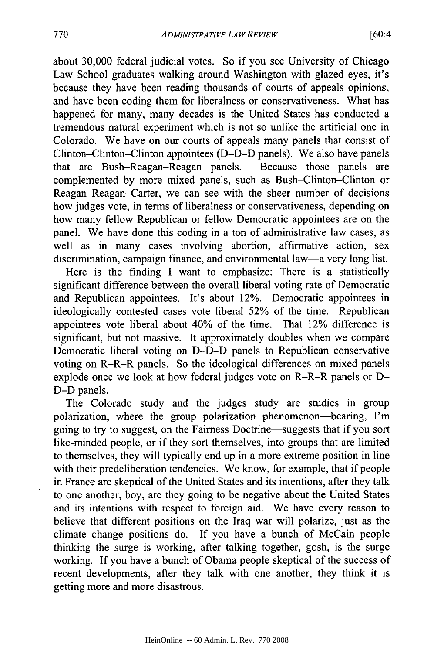about 30,000 federal judicial votes. So if you see University of Chicago Law School graduates walking around Washington with glazed eyes, it's because they have been reading thousands of courts of appeals opinions, and have been coding them for liberalness or conservativeness. What has happened for many, many decades is the United States has conducted a tremendous natural experiment which is not so unlike the artificial one in Colorado. We have on our courts of appeals many panels that consist of Clinton-Clinton-Clinton appointees (D-D-D panels). We also have panels that are Bush-Reagan-Reagan panels. Because those panels are complemented by more mixed panels, such as Bush-Clinton-Clinton or Reagan-Reagan-Carter, we can see with the sheer number of decisions how judges vote, in terms of liberalness or conservativeness, depending on how many fellow Republican or fellow Democratic appointees are on the panel. We have done this coding in a ton of administrative law cases, as well as in many cases involving abortion, affirmative action, sex discrimination, campaign finance, and environmental law-a very long list.

Here is the finding I want to emphasize: There is a statistically significant difference between the overall liberal voting rate of Democratic and Republican appointees. It's about 12%. Democratic appointees in ideologically contested cases vote liberal 52% of the time. Republican appointees vote liberal about 40% of the time. That 12% difference is significant, but not massive. It approximately doubles when we compare Democratic liberal voting on D-D-D panels to Republican conservative voting on R-R-R panels. So the ideological differences on mixed panels explode once we look at how federal judges vote on R-R-R panels or D-D-D panels.

The Colorado study and the judges study are studies in group polarization, where the group polarization phenomenon-bearing, I'm going to try to suggest, on the Fairness Doctrine-suggests that if you sort like-minded people, or if they sort themselves, into groups that are limited to themselves, they will typically end up in a more extreme position in line with their predeliberation tendencies. We know, for example, that if people in France are skeptical of the United States and its intentions, after they talk to one another, boy, are they going to be negative about the United States and its intentions with respect to foreign aid. We have every reason to believe that different positions on the Iraq war will polarize, just as the climate change positions do. If you have a bunch of McCain people thinking the surge is working, after talking together, gosh, is the surge working. If you have a bunch of Obama people skeptical of the success of recent developments, after they talk with one another, they think it is getting more and more disastrous.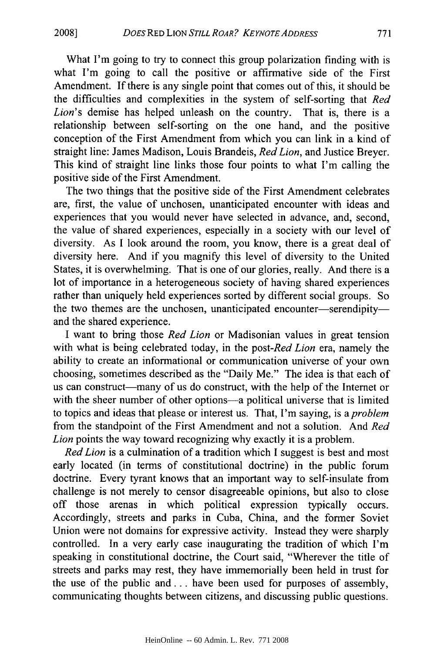**2008]**

What I'm going to try to connect this group polarization finding with is what I'm going to call the positive or affirmative side of the First Amendment. If there is any single point that comes out of this, it should be the difficulties and complexities in the system of self-sorting that *Red Lion's* demise has helped unleash on the country. That is, there is a relationship between self-sorting on the one hand, and the positive conception of the First Amendment from which you can link in a kind of straight line: James Madison, Louis Brandeis, *Red Lion,* and Justice Breyer. This kind of straight line links those four points to what I'm calling the positive side of the First Amendment.

The two things that the positive side of the First Amendment celebrates are, first, the value of unchosen, unanticipated encounter with ideas and experiences that you would never have selected in advance, and, second, the value of shared experiences, especially in a society with our level of diversity. As I look around the room, you know, there is a great deal of diversity here. And if you magnify this level of diversity to the United States, it is overwhelming. That is one of our glories, really. And there is a lot of importance in a heterogeneous society of having shared experiences rather than uniquely held experiences sorted by different social groups. So the two themes are the unchosen, unanticipated encounter-serendipityand the shared experience.

I want to bring those *Red Lion* or Madisonian values in great tension with what is being celebrated today, in the *post-Red Lion* era, namely the ability to create an informational or communication universe of your own choosing, sometimes described as the "Daily Me." The idea is that each of us can construct—many of us do construct, with the help of the Internet or with the sheer number of other options-a political universe that is limited to topics and ideas that please or interest us. That, I'm saying, is *aproblem* from the standpoint of the First Amendment and not a solution. And *Red Lion* points the way toward recognizing why exactly it is a problem.

*Red Lion* is a culmination of a tradition which I suggest is best and most early located (in terms of constitutional doctrine) in the public forum doctrine. Every tyrant knows that an important way to self-insulate from challenge is not merely to censor disagreeable opinions, but also to close off those arenas in which political expression typically occurs. Accordingly, streets and parks in Cuba, China, and the former Soviet Union were not domains for expressive activity. Instead they were sharply controlled. In a very early case inaugurating the tradition of which I'm speaking in constitutional doctrine, the Court said, "Wherever the title of streets and parks may rest, they have immemorially been held in trust for the use of the public and.., have been used for purposes of assembly, communicating thoughts between citizens, and discussing public questions.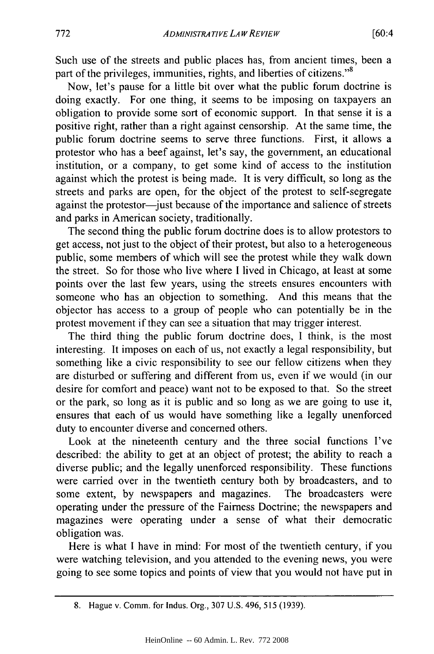[60:4

Such use of the streets and public places has, from ancient times, been a part of the privileges, immunities, rights, and liberties of citizens."<sup>8</sup>

Now, let's pause for a little bit over what the public forum doctrine is doing exactly. For one thing, it seems to be imposing on taxpayers an obligation to provide some sort of economic support. In that sense it is a positive right, rather than a right against censorship. At the same time, the public forum doctrine seems to serve three functions. First, it allows a protestor who has a beef against, let's say, the government, an educational institution, or a company, to get some kind of access to the institution against which the protest is being made. It is very difficult, so long as the streets and parks are open, for the object of the protest to self-segregate against the protestor-just because of the importance and salience of streets and parks in American society, traditionally.

The second thing the public forum doctrine does is to allow protestors to get access, not just to the object of their protest, but also to a heterogeneous public, some members of which will see the protest while they walk down the street. So for those who live where I lived in Chicago, at least at some points over the last few years, using the streets ensures encounters with someone who has an objection to something. And this means that the objector has access to a group of people who can potentially be in the protest movement if they can see a situation that may trigger interest.

The third thing the public forum doctrine does, I think, is the most interesting. It imposes on each of us, not exactly a legal responsibility, but something like a civic responsibility to see our fellow citizens when they are disturbed or suffering and different from us, even if we would (in our desire for comfort and peace) want not to be exposed to that. So the street or the park, so long as it is public and so long as we are going to use it, ensures that each of us would have something like a legally unenforced duty to encounter diverse and concerned others.

Look at the nineteenth century and the three social functions I've described: the ability to get at an object of protest; the ability to reach a diverse public; and the legally unenforced responsibility. These functions were carried over in the twentieth century both by broadcasters, and to some extent, by newspapers and magazines. The broadcasters were operating under the pressure of the Fairness Doctrine; the newspapers and magazines were operating under a sense of what their democratic obligation was.

Here is what I have in mind: For most of the twentieth century, if you were watching television, and you attended to the evening news, you were going to see some topics and points of view that you would not have put in

<sup>8.</sup> Hague v. Comm. for Indus. Org., 307 U.S. 496, 515 (1939).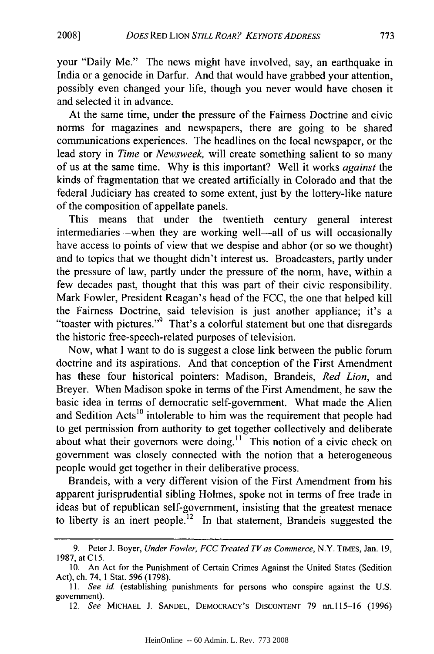your "Daily Me." The news might have involved, say, an earthquake in India or a genocide in Darfur. And that would have grabbed your attention, possibly even changed your life, though you never would have chosen it and selected it in advance.

At the same time, under the pressure of the Fairness Doctrine and civic norms for magazines and newspapers, there are going to be shared communications experiences. The headlines on the local newspaper, or the lead story in *Time* or *Newsweek,* will create something salient to so many of us at the same time. Why is this important? Well it works *against* the kinds of fragmentation that we created artificially in Colorado and that the federal Judiciary has created to some extent, just by the lottery-like nature of the composition of appellate panels.

This means that under the twentieth century general interest intermediaries—when they are working well—all of us will occasionally have access to points of view that we despise and abhor (or so we thought) and to topics that we thought didn't interest us. Broadcasters, partly under the pressure of law, partly under the pressure of the norm, have, within a few decades past, thought that this was part of their civic responsibility. Mark Fowler, President Reagan's head of the FCC, the one that helped kill the Fairness Doctrine, said television is just another appliance; it's a "toaster with pictures."<sup>9</sup> That's a colorful statement but one that disregards the historic free-speech-related purposes of television.

Now, what I want to do is suggest a close link between the public forum doctrine and its aspirations. And that conception of the First Amendment has these four historical pointers: Madison, Brandeis, *Red Lion,* and Breyer. When Madison spoke in terms of the First Amendment, he saw the basic idea in terms of democratic self-government. What made the Alien and Sedition Acts<sup>10</sup> intolerable to him was the requirement that people had to get permission from authority to get together collectively and deliberate about what their governors were doing.<sup>11</sup> This notion of a civic check on government was closely connected with the notion that a heterogeneous people would get together in their deliberative process.

Brandeis, with a very different vision of the First Amendment from his apparent jurisprudential sibling Holmes, spoke not in terms of free trade in ideas but of republican self-government, insisting that the greatest menace to liberty is an inert people.<sup>12</sup> In that statement, Brandeis suggested the

<sup>9.</sup> Peter J. Boyer, *Under Fowler, FCC Treated TVas Commerce,* N.Y. TIMES, Jan. 19, 1987, at C15.

<sup>10.</sup> An Act for the Punishment of Certain Crimes Against the United States (Sedition Act), ch. 74, 1 Stat. 596 (1798). *11. See id.* (establishing punishments for persons who conspire against the U.S.

government).

<sup>12.</sup> *See* MICHAEL **J.** SANDEL, DEMOCRACY'S DIscONTENT 79 nn.115-16 (1996)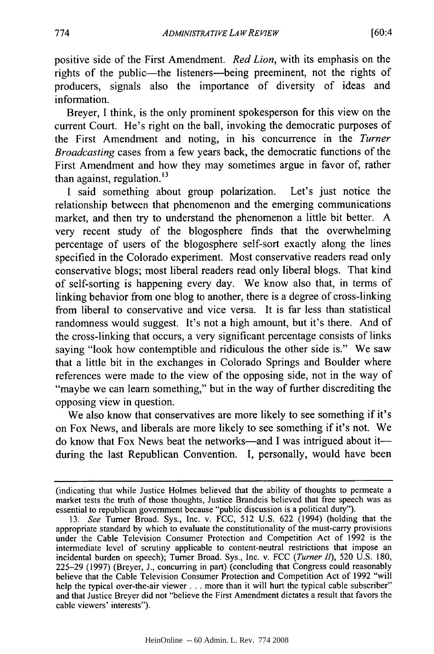positive side of the First Amendment. *Red Lion,* with its emphasis on the rights of the public—the listeners—being preeminent, not the rights of producers, signals also the importance of diversity of ideas and information.

Breyer, I think, is the only prominent spokesperson for this view on the current Court. He's right on the ball, invoking the democratic purposes of the First Amendment and noting, in his concurrence in the *Turner Broadcasting* cases from a few years back, the democratic functions of the First Amendment and how they may sometimes argue in favor of, rather than against, regulation. $^{13}$ 

I said something about group polarization. Let's just notice the relationship between that phenomenon and the emerging communications market, and then try to understand the phenomenon a little bit better. A very recent study of the blogosphere finds that the overwhelming percentage of users of the blogosphere self-sort exactly along the lines specified in the Colorado experiment. Most conservative readers read only conservative blogs; most liberal readers read only liberal blogs. That kind of self-sorting is happening every day. We know also that, in terms of linking behavior from one blog to another, there is a degree of cross-linking from liberal to conservative and vice versa. It is far less than statistical randomness would suggest. It's not a high amount, but it's there. And of the cross-linking that occurs, a very significant percentage consists of links saying "look how contemptible and ridiculous the other side is." We saw that a little bit in the exchanges in Colorado Springs and Boulder where references were made to the view of the opposing side, not in the way of "maybe we can learn something," but in the way of further discrediting the opposing view in question.

We also know that conservatives are more likely to see something if it's on Fox News, and liberals are more likely to see something if it's not. We do know that Fox News beat the networks—and I was intrigued about it during the last Republican Convention. I, personally, would have been

<sup>(</sup>indicating that while Justice Holmes believed that the ability of thoughts to permeate a market tests the truth of those thoughts, Justice Brandeis believed that free speech was as essential to republican government because "public discussion is a political duty").

<sup>13.</sup> *See* Turner Broad. Sys., Inc. v. FCC, 512 U.S. 622 (1994) (holding that the appropriate standard by which to evaluate the constitutionality of the must-carry provisions under the Cable Television Consumer Protection and Competition Act of 1992 is the intermediate level of scrutiny applicable to content-neutral restrictions that impose an incidental burden on speech); Turner Broad. Sys., Inc. v. FCC *(Turner 11),* 520 U.S. 180, 225-29 (1997) (Breyer, J., concurring in part) (concluding that Congress could reasonably believe that the Cable Television Consumer Protection and Competition Act of 1992 "will help the typical over-the-air viewer . . . more than it will hurt the typical cable subscriber" and that Justice Breyer did not "believe the First Amendment dictates a result that favors the cable viewers' interests").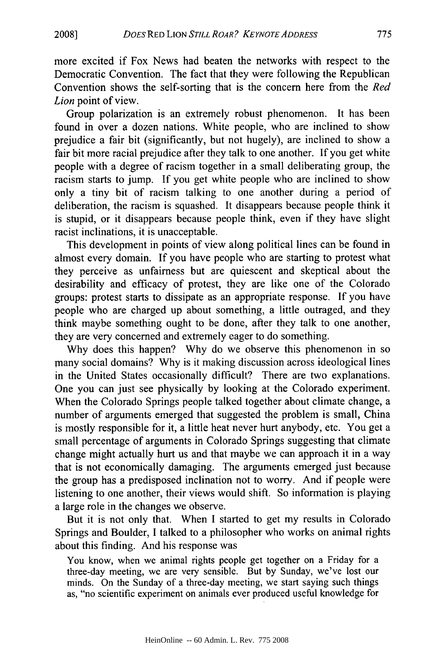more excited if Fox News had beaten the networks with respect to the Democratic Convention. The fact that they were following the Republican Convention shows the self-sorting that is the concern here from the *Red Lion* point of view.

Group polarization is an extremely robust phenomenon. It has been found in over a dozen nations. White people, who are inclined to show prejudice a fair bit (significantly, but not hugely), are inclined to show a fair bit more racial prejudice after they talk to one another. If you get white people with a degree of racism together in a small deliberating group, the racism starts to jump. If you get white people who are inclined to show only a tiny bit of racism talking to one another during a period of deliberation, the racism is squashed. It disappears because people think it is stupid, or it disappears because people think, even if they have slight racist inclinations, it is unacceptable.

This development in points of view along political lines can be found in almost every domain. If you have people who are starting to protest what they perceive as unfairness but are quiescent and skeptical about the desirability and efficacy of protest, they are like one of the Colorado groups: protest starts to dissipate as an appropriate response. If you have people who are charged up about something, a little outraged, and they think maybe something ought to be done, after they talk to one another, they are very concerned and extremely eager to do something.

Why does this happen? Why do we observe this phenomenon in so many social domains? Why is it making discussion across ideological lines in the United States occasionally difficult? There are two explanations. One you can just see physically by looking at the Colorado experiment. When the Colorado Springs people talked together about climate change, a number of arguments emerged that suggested the problem is small, China is mostly responsible for it, a little heat never hurt anybody, etc. You get a small percentage of arguments in Colorado Springs suggesting that climate change might actually hurt us and that maybe we can approach it in a way that is not economically damaging. The arguments emerged just because the group has a predisposed inclination not to worry. And if people were listening to one another, their views would shift. So information is playing a large role in the changes we observe.

But it is not only that. When I started to get my results in Colorado Springs and Boulder, I talked to a philosopher who works on animal rights about this finding. And his response was

You know, when we animal rights people get together on a Friday for a three-day meeting, we are very sensible. But by Sunday, we've lost our minds. On the Sunday of a three-day meeting, we start saying such things as, "no scientific experiment on animals ever produced useful knowledge for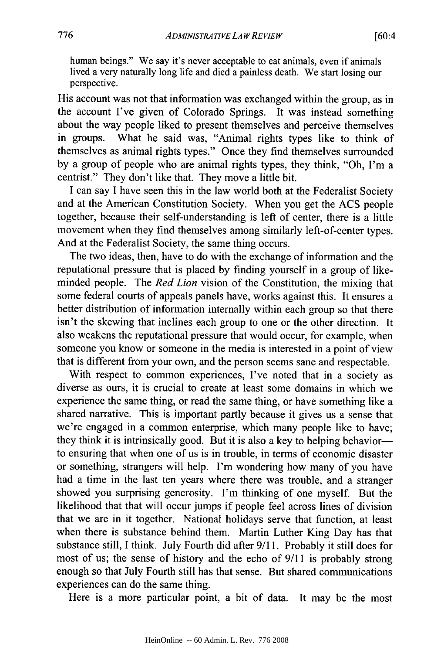human beings." We say it's never acceptable to eat animals, even if animals lived a very naturally long life and died a painless death. We start losing our perspective.

His account was not that information was exchanged within the group, as in the account I've given of Colorado Springs. It was instead something about the way people liked to present themselves and perceive themselves in groups. What he said was, "Animal rights types like to think of themselves as animal rights types." Once they find themselves surrounded by a group of people who are animal rights types, they think, "Oh, I'm a centrist." They don't like that. They move a little bit.

I can say I have seen this in the law world both at the Federalist Society and at the American Constitution Society. When you get the ACS people together, because their self-understanding is left of center, there is a little movement when they find themselves among similarly left-of-center types. And at the Federalist Society, the same thing occurs.

The two ideas, then, have to do with the exchange of information and the reputational pressure that is placed by finding yourself in a group of likeminded people. The *Red Lion* vision of the Constitution, the mixing that some federal courts of appeals panels have, works against this. It ensures a better distribution of information internally within each group so that there isn't the skewing that inclines each group to one or the other direction. It also weakens the reputational pressure that would occur, for example, when someone you know or someone in the media is interested in a point of view that is different from your own, and the person seems sane and respectable.

With respect to common experiences, I've noted that in a society as diverse as ours, it is crucial to create at least some domains in which we experience the same thing, or read the same thing, or have something like a shared narrative. This is important partly because it gives us a sense that we're engaged in a common enterprise, which many people like to have; they think it is intrinsically good. But it is also a key to helping behaviorto ensuring that when one of us is in trouble, in terms of economic disaster or something, strangers will help. I'm wondering how many of you have had a time in the last ten years where there was trouble, and a stranger showed you surprising generosity. I'm thinking of one myself. But the likelihood that that will occur jumps if people feel across lines of division that we are in it together. National holidays serve that function, at least when there is substance behind them. Martin Luther King Day has that substance still, I think. July Fourth did after 9/11. Probably it still does for most of us; the sense of history and the echo of 9/11 is probably strong enough so that July Fourth still has that sense. But shared communications experiences can do the same thing.

Here is a more particular point, a bit of data. It may be the most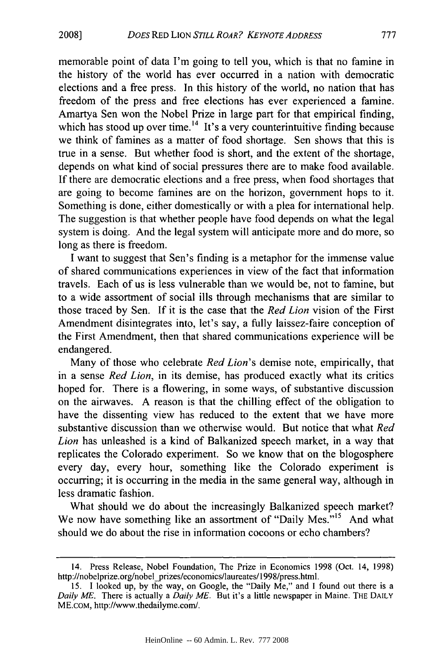memorable point of data I'm going to tell you, which is that no famine in the history of the world has ever occurred in a nation with democratic elections and a free press. In this history of the world, no nation that has freedom of the press and free elections has ever experienced a famine. Amartya Sen won the Nobel Prize in large part for that empirical finding, which has stood up over time.<sup>14</sup> It's a very counterintuitive finding because we think of famines as a matter of food shortage. Sen shows that this is true in a sense. But whether food is short, and the extent of the shortage, depends on what kind of social pressures there are to make food available. If there are democratic elections and a free press, when food shortages that are going to become famines are on the horizon, government hops to it. Something is done, either domestically or with a plea for international help. The suggestion is that whether people have food depends on what the legal system is doing. And the legal system will anticipate more and do more, so long as there is freedom.

I want to suggest that Sen's finding is a metaphor for the immense value of shared communications experiences in view of the fact that information travels. Each of us is less vulnerable than we would be, not to famine, but to a wide assortment of social ills through mechanisms that are similar to those traced by Sen. If it is the case that the *Red Lion* vision of the First Amendment disintegrates into, let's say, a fully laissez-faire conception of the First Amendment, then that shared communications experience will be endangered.

Many of those who celebrate *Red Lion's* demise note, empirically, that in a sense *Red Lion,* in its demise, has produced exactly what its critics hoped for. There is a flowering, in some ways, of substantive discussion on the airwaves. A reason is that the chilling effect of the obligation to have the dissenting view has reduced to the extent that we have more substantive discussion than we otherwise would. But notice that what *Red Lion* has unleashed is a kind of Balkanized speech market, in a way that replicates the Colorado experiment. So we know that on the blogosphere every day, every hour, something like the Colorado experiment is occurring; it is occurring in the media in the same general way, although in less dramatic fashion.

What should we do about the increasingly Balkanized speech market? We now have something like an assortment of "Daily Mes."<sup>15</sup> And what should we do about the rise in information cocoons or echo chambers?

<sup>14.</sup> Press Release, Nobel Foundation, The Prize in Economics 1998 (Oct. 14, 1998) http://nobelprize.org/nobel\_prizes/economics/laureates/1998/press.html.

<sup>15.</sup> I looked up, by the way, on Google, the "Daily Me," and I found out there is a *Daily ME.* There is actually a *Daily ME.* But it's a little newspaper in Maine. THE DAILY ME.cOM, http://www.thedailyme.com/.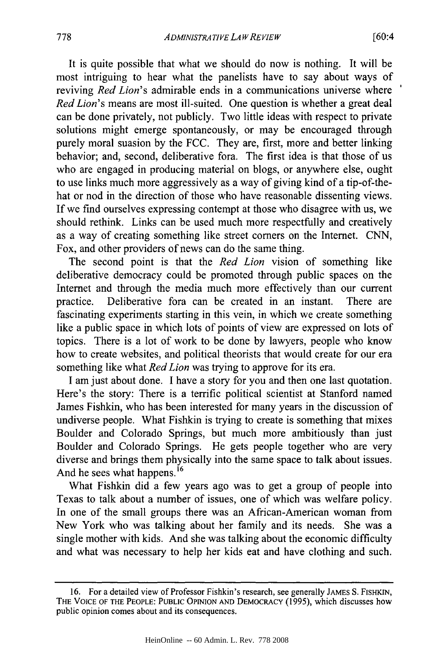It is quite possible that what we should do now is nothing. It will be most intriguing to hear what the panelists have to say about ways of reviving *Red Lion's* admirable ends in a communications universe where *Red Lion's* means are most ill-suited. One question is whether a great deal can be done privately, not publicly. Two little ideas with respect to private solutions might emerge spontaneously, or may be encouraged through purely moral suasion by the FCC. They are, first, more and better linking behavior; and, second, deliberative fora. The first idea is that those of us who are engaged in producing material on blogs, or anywhere else, ought to use links much more aggressively as a way of giving kind of a tip-of-thehat or nod in the direction of those who have reasonable dissenting views. If we find ourselves expressing contempt at those who disagree with us, we should rethink. Links can be used much more respectfully and creatively as a way of creating something like street comers on the Internet. CNN, Fox, and other providers of news can do the same thing.

The second point is that the *Red Lion* vision of something like deliberative democracy could be promoted through public spaces on the Internet and through the media much more effectively than our current practice. Deliberative fora can be created in an instant. There are fascinating experiments starting in this vein, in which we create something like a public space in which lots of points of view are expressed on lots of topics. There is a lot of work to be done by lawyers, people who know how to create websites, and political theorists that would create for our era something like what *Red Lion* was trying to approve for its era.

I am just about done. I have a story for you and then one last quotation. Here's the story: There is a terrific political scientist at Stanford named James Fishkin, who has been interested for many years in the discussion of undiverse people. What Fishkin is trying to create is something that mixes Boulder and Colorado Springs, but much more ambitiously than just Boulder and Colorado Springs. He gets people together who are very diverse and brings them physically into the same space to talk about issues. And he sees what happens.<sup>16</sup>

What Fishkin did a few years ago was to get a group of people into Texas to talk about a number of issues, one of which was welfare policy. In one of the small groups there was an African-American woman from New York who was talking about her family and its needs. She was a single mother with kids. And she was talking about the economic difficulty and what was necessary to help her kids eat and have clothing and such.

<sup>16.</sup> For a detailed view of Professor Fishkin's research, see generally JAMES S. FIsHKIN, THE **VOICE** OF THE PEOPLE: PUBLIC OPINION **AND** DEMOCRACY (1995), which discusses how public opinion comes about and its consequences.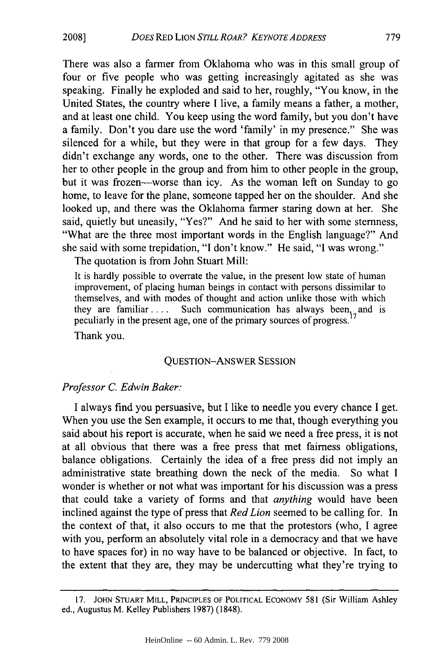There was also a farmer from Oklahoma who was in this small group of four or five people who was getting increasingly agitated as she was speaking. Finally he exploded and said to her, roughly, "You know, in the United States, the country where I live, a family means a father, a mother, and at least one child. You keep using the word family, but you don't have a family. Don't you dare use the word 'family' in my presence." She was silenced for a while, but they were in that group for a few days. They didn't exchange any words, one to the other. There was discussion from her to other people in the group and from him to other people in the group, but it was frozen-worse than icy. As the woman left on Sunday to go home, to leave for the plane, someone tapped her on the shoulder. And she looked up, and there was the Oklahoma farmer staring down at her. She said, quietly but uneasily, "Yes?" And he said to her with some sternness, "What are the three most important words in the English language?" And she said with some trepidation, "I don't know." He said, "I was wrong."

The quotation is from John Stuart Mill:

It is hardly possible to overrate the value, in the present low state of human improvement, of placing human beings in contact with persons dissimilar to themselves, and with modes of thought and action unlike those with which they are familiar .... Such communication has always been  $_{17}$  and is peculiarly in the present age, one of the primary sources of progress.

Thank you.

#### QUESTION-ANSWER SESSION

#### *Professor C. Edwin Baker:*

**I** always find you persuasive, but I like to needle you every chance I get. When you use the Sen example, it occurs to me that, though everything you said about his report is accurate, when he said we need a free press, it is not at all obvious that there was a free press that met fairness obligations, balance obligations. Certainly the idea of a free press did not imply an administrative state breathing down the neck of the media. So what I wonder is whether or not what was important for his discussion was a press that could take a variety of forms and that *anything* would have been inclined against the type of press that *Red Lion* seemed to be calling for. In the context of that, it also occurs to me that the protestors (who, I agree with you, perform an absolutely vital role in a democracy and that we have to have spaces for) in no way have to be balanced or objective. In fact, to the extent that they are, they may be undercutting what they're trying to

<sup>17.</sup> JOHN **STUART** MILL, PRINCIPLES **OF** POLITICAL ECONOMY **581** (Sir William Ashley ed., Augustus M. Kelley Publishers 1987) (1848).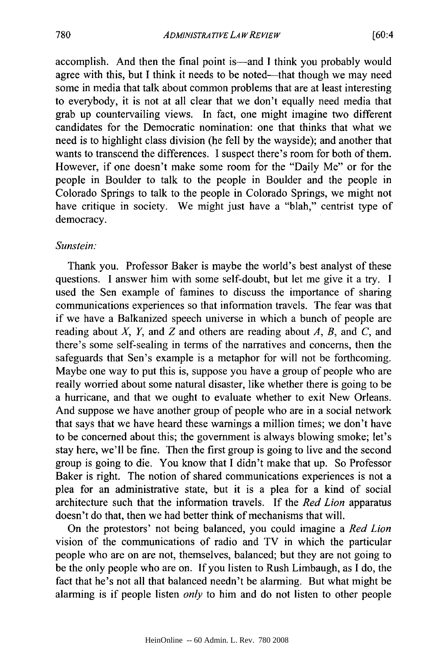accomplish. And then the final point is—and I think you probably would agree with this, but I think it needs to be noted—that though we may need some in media that talk about common problems that are at least interesting to everybody, it is not at all clear that we don't equally need media that grab up countervailing views. In fact, one might imagine two different candidates for the Democratic nomination: one that thinks that what we need is to highlight class division (he fell by the wayside); and another that wants to transcend the differences. I suspect there's room for both of them. However, if one doesn't make some room for the "Daily Me" or for the people in Boulder to talk to the people in Boulder and the people in Colorado Springs to talk to the people in Colorado Springs, we might not have critique in society. We might just have a "blah," centrist type of democracy.

#### *Sunstein:*

Thank you. Professor Baker is maybe the world's best analyst of these questions. I answer him with some self-doubt, but let me give it a try. I used the Sen example of famines to discuss the importance of sharing communications experiences so that information travels. The fear was that if we have a Balkanized speech universe in which a bunch of people are reading about *X, Y,* and *Z* and others are reading about *A, B,* and *C,* and there's some self-sealing in terms of the narratives and concerns, then the safeguards that Sen's example is a metaphor for will not be forthcoming. Maybe one way to put this is, suppose you have a group of people who are really worried about some natural disaster, like whether there is going to be a hurricane, and that we ought to evaluate whether to exit New Orleans. And suppose we have another group of people who are in a social network that says that we have heard these warnings a million times; we don't have to be concerned about this; the government is always blowing smoke; let's stay here, we'll be fine. Then the first group is going to live and the second group is going to die. You know that I didn't make that up. So Professor Baker is right. The notion of shared communications experiences is not a plea for an administrative state, but it is a plea for a kind of social architecture such that the information travels. If the *Red Lion* apparatus doesn't do that, then we had better think of mechanisms that will.

On the protestors' not being balanced, you could imagine a *Red Lion* vision of the communications of radio and TV in which the particular people who are on are not, themselves, balanced; but they are not going to be the only people who are on. If you listen to Rush Limbaugh, as I do, the fact that he's not all that balanced needn't be alarming. But what might be alarming is if people listen *only* to him and do not listen to other people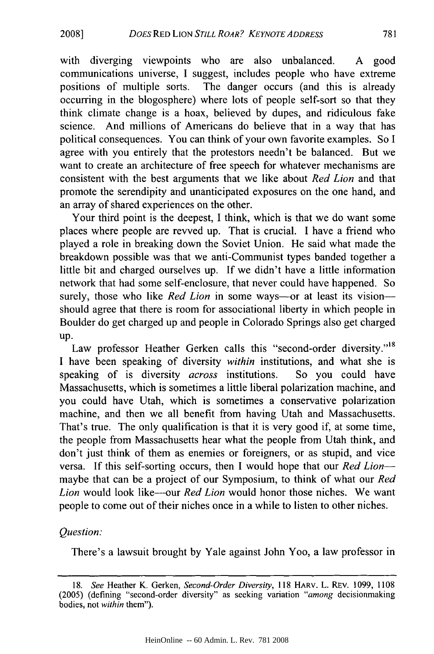with diverging viewpoints who are also unbalanced. A good communications universe, I suggest, includes people who have extreme positions of multiple sorts. The danger occurs (and this is already occurring in the blogosphere) where lots of people self-sort so that they think climate change is a hoax, believed by dupes, and ridiculous fake science. And millions of Americans do believe that in a way that has political consequences. You can think of your own favorite examples. So I agree with you entirely that the protestors needn't be balanced. But we want to create an architecture of free speech for whatever mechanisms are consistent with the best arguments that we like about *Red Lion* and that promote the serendipity and unanticipated exposures on the one hand, and an array of shared experiences on the other.

Your third point is the deepest, I think, which is that we do want some places where people are revved up. That is crucial. I have a friend who played a role in breaking down the Soviet Union. He said what made the breakdown possible was that we anti-Communist types banded together a little bit and charged ourselves up. If we didn't have a little information network that had some self-enclosure, that never could have happened. So surely, those who like *Red Lion* in some ways—or at least its vision should agree that there is room for associational liberty in which people in Boulder do get charged up and people in Colorado Springs also get charged up.

Law professor Heather Gerken calls this "second-order diversity."<sup>18</sup> I have been speaking of diversity *within* institutions, and what she is speaking of is diversity *across* institutions. So you could have Massachusetts, which is sometimes a little liberal polarization machine, and you could have Utah, which is sometimes a conservative polarization machine, and then we all benefit from having Utah and Massachusetts. That's true. The only qualification is that it is very good if, at some time, the people from Massachusetts hear what the people from Utah think, and don't just think of them as enemies or foreigners, or as stupid, and vice versa. If this self-sorting occurs, then I would hope that our *Red Lion*maybe that can be a project of our Symposium, to think of what our *Red Lion* would look like--our *Red Lion* would honor those niches. We want people to come out of their niches once in a while to listen to other niches.

#### *Question:*

There's a lawsuit brought by Yale against John Yoo, a law professor in

<sup>18.</sup> *See* Heather K. Gerken, *Second-Order Diversity,* 118 HARV. L. REv. 1099, 1108 (2005) (defining "second-order diversity" as seeking variation *"among* decisionmaking bodies, not *within* them").